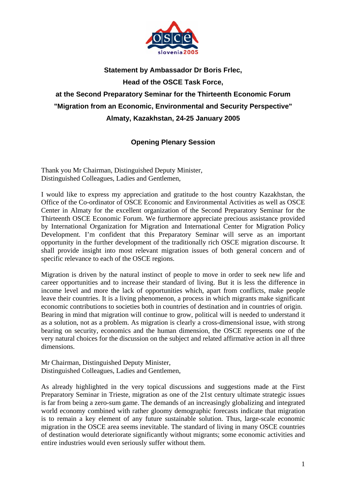

## **Statement by Ambassador Dr Boris Frlec, Head of the OSCE Task Force, at the Second Preparatory Seminar for the Thirteenth Economic Forum "Migration from an Economic, Environmental and Security Perspective" Almaty, Kazakhstan, 24-25 January 2005**

## **Opening Plenary Session**

Thank you Mr Chairman, Distinguished Deputy Minister, Distinguished Colleagues, Ladies and Gentlemen,

I would like to express my appreciation and gratitude to the host country Kazakhstan, the Office of the Co-ordinator of OSCE Economic and Environmental Activities as well as OSCE Center in Almaty for the excellent organization of the Second Preparatory Seminar for the Thirteenth OSCE Economic Forum. We furthermore appreciate precious assistance provided by International Organization for Migration and International Center for Migration Policy Development. I'm confident that this Preparatory Seminar will serve as an important opportunity in the further development of the traditionally rich OSCE migration discourse. It shall provide insight into most relevant migration issues of both general concern and of specific relevance to each of the OSCE regions.

Migration is driven by the natural instinct of people to move in order to seek new life and career opportunities and to increase their standard of living. But it is less the difference in income level and more the lack of opportunities which, apart from conflicts, make people leave their countries. It is a living phenomenon, a process in which migrants make significant economic contributions to societies both in countries of destination and in countries of origin. Bearing in mind that migration will continue to grow, political will is needed to understand it as a solution, not as a problem. As migration is clearly a cross-dimensional issue, with strong bearing on security, economics and the human dimension, the OSCE represents one of the very natural choices for the discussion on the subject and related affirmative action in all three dimensions.

Mr Chairman, Distinguished Deputy Minister, Distinguished Colleagues, Ladies and Gentlemen,

As already highlighted in the very topical discussions and suggestions made at the First Preparatory Seminar in Trieste, migration as one of the 21st century ultimate strategic issues is far from being a zero-sum game. The demands of an increasingly globalizing and integrated world economy combined with rather gloomy demographic forecasts indicate that migration is to remain a key element of any future sustainable solution. Thus, large-scale economic migration in the OSCE area seems inevitable. The standard of living in many OSCE countries of destination would deteriorate significantly without migrants; some economic activities and entire industries would even seriously suffer without them.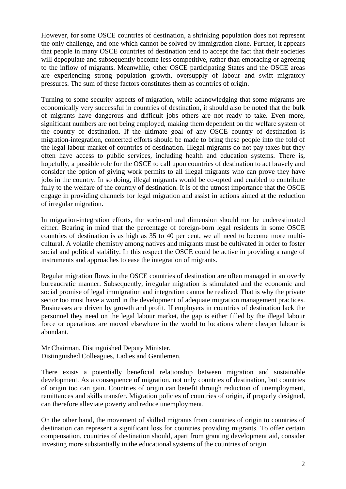However, for some OSCE countries of destination, a shrinking population does not represent the only challenge, and one which cannot be solved by immigration alone. Further, it appears that people in many OSCE countries of destination tend to accept the fact that their societies will depopulate and subsequently become less competitive, rather than embracing or agreeing to the inflow of migrants. Meanwhile, other OSCE participating States and the OSCE areas are experiencing strong population growth, oversupply of labour and swift migratory pressures. The sum of these factors constitutes them as countries of origin.

Turning to some security aspects of migration, while acknowledging that some migrants are economically very successful in countries of destination, it should also be noted that the bulk of migrants have dangerous and difficult jobs others are not ready to take. Even more, significant numbers are not being employed, making them dependent on the welfare system of the country of destination. If the ultimate goal of any OSCE country of destination is migration-integration, concerted efforts should be made to bring these people into the fold of the legal labour market of countries of destination. Illegal migrants do not pay taxes but they often have access to public services, including health and education systems. There is, hopefully, a possible role for the OSCE to call upon countries of destination to act bravely and consider the option of giving work permits to all illegal migrants who can prove they have jobs in the country. In so doing, illegal migrants would be co-opted and enabled to contribute fully to the welfare of the country of destination. It is of the utmost importance that the OSCE engage in providing channels for legal migration and assist in actions aimed at the reduction of irregular migration.

In migration-integration efforts, the socio-cultural dimension should not be underestimated either. Bearing in mind that the percentage of foreign-born legal residents in some OSCE countries of destination is as high as 35 to 40 per cent, we all need to become more multicultural. A volatile chemistry among natives and migrants must be cultivated in order to foster social and political stability. In this respect the OSCE could be active in providing a range of instruments and approaches to ease the integration of migrants.

Regular migration flows in the OSCE countries of destination are often managed in an overly bureaucratic manner. Subsequently, irregular migration is stimulated and the economic and social promise of legal immigration and integration cannot be realized. That is why the private sector too must have a word in the development of adequate migration management practices. Businesses are driven by growth and profit. If employers in countries of destination lack the personnel they need on the legal labour market, the gap is either filled by the illegal labour force or operations are moved elsewhere in the world to locations where cheaper labour is abundant.

Mr Chairman, Distinguished Deputy Minister, Distinguished Colleagues, Ladies and Gentlemen,

There exists a potentially beneficial relationship between migration and sustainable development. As a consequence of migration, not only countries of destination, but countries of origin too can gain. Countries of origin can benefit through reduction of unemployment, remittances and skills transfer. Migration policies of countries of origin, if properly designed, can therefore alleviate poverty and reduce unemployment.

On the other hand, the movement of skilled migrants from countries of origin to countries of destination can represent a significant loss for countries providing migrants. To offer certain compensation, countries of destination should, apart from granting development aid, consider investing more substantially in the educational systems of the countries of origin.